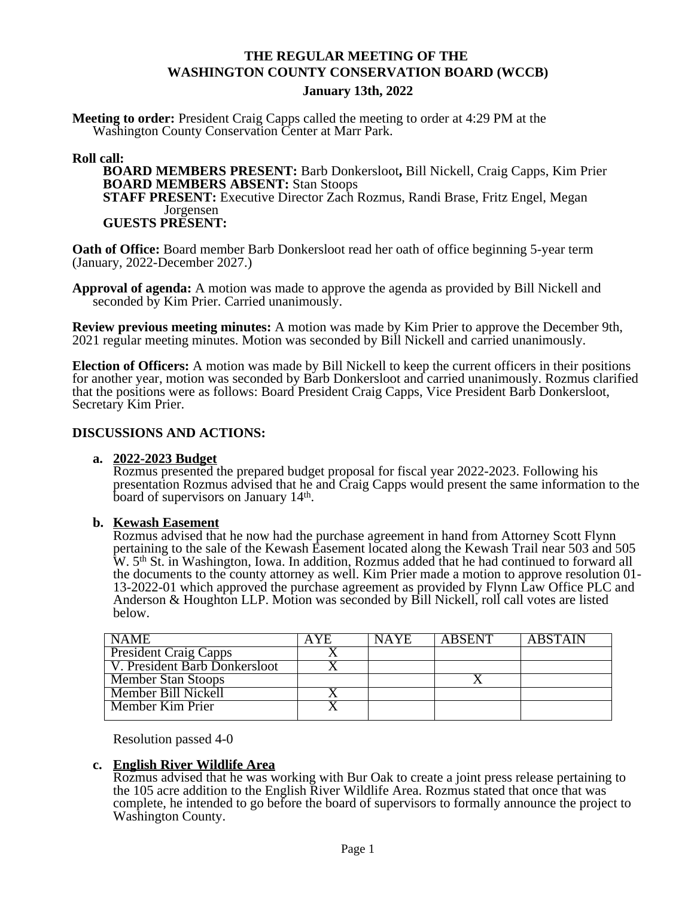# **THE REGULAR MEETING OF THE WASHINGTON COUNTY CONSERVATION BOARD (WCCB)**

#### **January 13th, 2022**

**Meeting to order:** President Craig Capps called the meeting to order at 4:29 PM at the Washington County Conservation Center at Marr Park.

#### **Roll call:**

**BOARD MEMBERS PRESENT:** Barb Donkersloot**,** Bill Nickell, Craig Capps, Kim Prier **BOARD MEMBERS ABSENT:** Stan Stoops **STAFF PRESENT:** Executive Director Zach Rozmus, Randi Brase, Fritz Engel, Megan Jorgensen

### **GUESTS PRESENT:**

**Oath of Office:** Board member Barb Donkersloot read her oath of office beginning 5-year term (January, 2022-December 2027.)

**Approval of agenda:** A motion was made to approve the agenda as provided by Bill Nickell and seconded by Kim Prier. Carried unanimously.

**Review previous meeting minutes:** A motion was made by Kim Prier to approve the December 9th, 2021 regular meeting minutes. Motion was seconded by Bill Nickell and carried unanimously.

**Election of Officers:** A motion was made by Bill Nickell to keep the current officers in their positions for another year, motion was seconded by Barb Donkersloot and carried unanimously. Rozmus clarified that the positions were as follows: Board President Craig Capps, Vice President Barb Donkersloot, Secretary Kim Prier.

#### **DISCUSSIONS AND ACTIONS:**

#### **a. 2022-2023 Budget**

Rozmus presented the prepared budget proposal for fiscal year 2022-2023. Following his presentation Rozmus advised that he and Craig Capps would present the same information to the board of supervisors on January 14<sup>th</sup>.

#### **b. Kewash Easement**

Rozmus advised that he now had the purchase agreement in hand from Attorney Scott Flynn pertaining to the sale of the Kewash Easement located along the Kewash Trail near 503 and 505 W. 5<sup>th</sup> St. in Washington, Iowa. In addition, Rozmus added that he had continued to forward all the documents to the county attorney as well. Kim Prier made a motion to approve resolution 01-13-2022-01 which approved the purchase agreement as provided by Flynn Law Office PLC and Anderson & Houghton LLP. Motion was seconded by Bill Nickell, roll call votes are listed below.

| NAME                                 | AYE. | <b>NAYE</b> | ABSENT | <b>ABSTAIN</b> |
|--------------------------------------|------|-------------|--------|----------------|
| <b>President Craig Capps</b>         |      |             |        |                |
| <b>V. President Barb Donkersloot</b> |      |             |        |                |
| <b>Member Stan Stoops</b>            |      |             |        |                |
| Member Bill Nickell                  |      |             |        |                |
| Member Kim Prier                     |      |             |        |                |

٦ Resolution passed 4-0

#### **c. English River Wildlife Area**

Rozmus advised that he was working with Bur Oak to create a joint press release pertaining to the 105 acre addition to the English River Wildlife Area. Rozmus stated that once that was complete, he intended to go before the board of supervisors to formally announce the project to Washington County.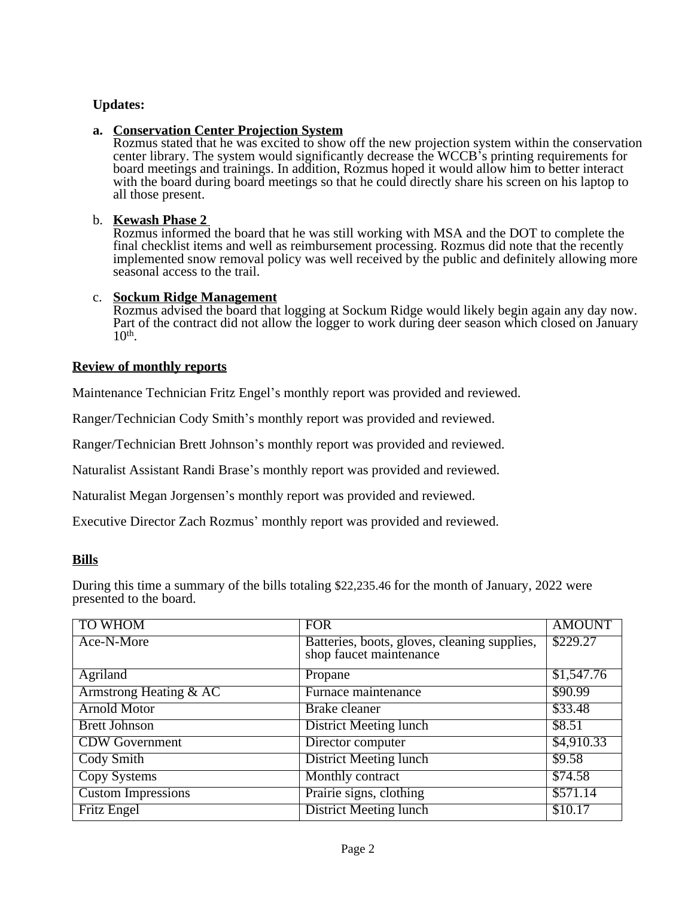# **Updates:**

# **a. Conservation Center Projection System**

Rozmus stated that he was excited to show off the new projection system within the conservation center library. The system would significantly decrease the WCCB's printing requirements for board meetings and trainings. In addition, Rozmus hoped it would allow him to better interact with the board during board meetings so that he could directly share his screen on his laptop to all those present.

## b. **Kewash Phase 2**

Rozmus informed the board that he was still working with MSA and the DOT to complete the final checklist items and well as reimbursement processing. Rozmus did note that the recently implemented snow removal policy was well received by the public and definitely allowing more seasonal access to the trail.

### c. **Sockum Ridge Management**

Rozmus advised the board that logging at Sockum Ridge would likely begin again any day now. Part of the contract did not allow the logger to work during deer season which closed on January 10th .

## **Review of monthly reports**

Maintenance Technician Fritz Engel's monthly report was provided and reviewed.

Ranger/Technician Cody Smith's monthly report was provided and reviewed.

Ranger/Technician Brett Johnson's monthly report was provided and reviewed.

Naturalist Assistant Randi Brase's monthly report was provided and reviewed.

Naturalist Megan Jorgensen's monthly report was provided and reviewed.

Executive Director Zach Rozmus' monthly report was provided and reviewed.

### **Bills**

During this time a summary of the bills totaling \$22,235.46 for the month of January, 2022 were presented to the board.

| <b>TO WHOM</b>                    | <b>FOR</b>                                   | <b>AMOUNT</b> |
|-----------------------------------|----------------------------------------------|---------------|
| Ace-N-More                        | Batteries, boots, gloves, cleaning supplies, | \$229.27      |
|                                   | shop faucet maintenance                      |               |
| <b>Agriland</b>                   | Propane                                      | \$1,547.76    |
| <b>Armstrong Heating &amp; AC</b> | Furnace maintenance                          | \$90.99       |
| <b>Arnold Motor</b>               | <b>Brake</b> cleaner                         | \$33.48       |
| <b>Brett Johnson</b>              | <b>District Meeting lunch</b>                | \$8.51        |
| <b>CDW</b> Government             | Director computer                            | \$4,910.33    |
| <b>Cody Smith</b>                 | <b>District Meeting lunch</b>                | \$9.58        |
| <b>Copy Systems</b>               | Monthly contract                             | \$74.58       |
| <b>Custom Impressions</b>         | Prairie signs, clothing                      | \$571.14      |
| <b>Fritz Engel</b>                | <b>District Meeting lunch</b>                | \$10.17       |